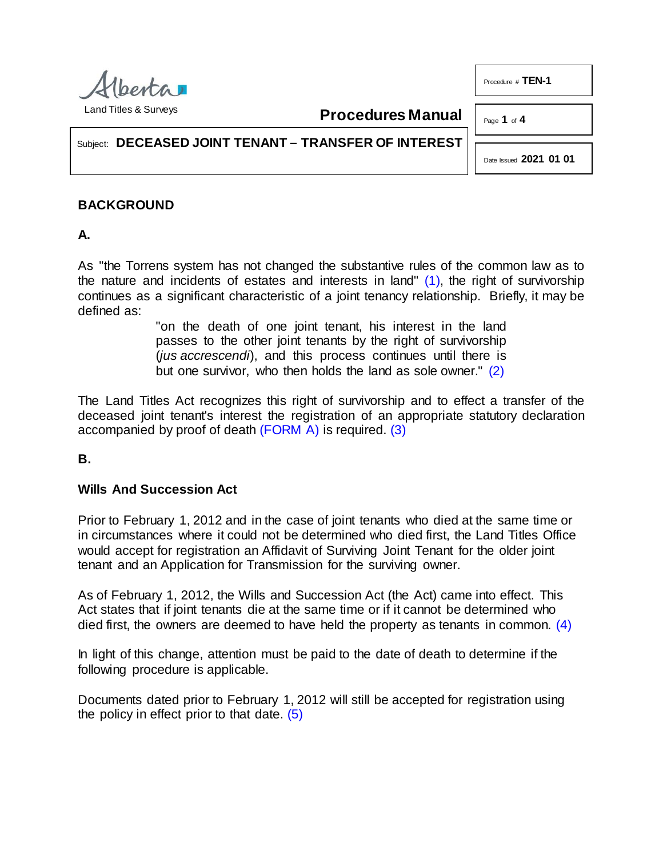

**Procedures Manual**

Page **1** of **4**

Procedure # **TEN-1**

Subject: **DECEASED JOINT TENANT – TRANSFER OF INTEREST**

<span id="page-0-3"></span><span id="page-0-1"></span><span id="page-0-0"></span>Date Issued **2021 01 01**

# **BACKGROUND**

**A.**

As "the Torrens system has not changed the substantive rules of the common law as to the nature and incidents of estates and interests in land"  $(1)$ , the right of survivorship continues as a significant characteristic of a joint tenancy relationship. Briefly, it may be defined as:

> <span id="page-0-2"></span>"on the death of one joint tenant, his interest in the land passes to the other joint tenants by the right of survivorship (*jus accrescendi*), and this process continues until there is but one survivor, who then holds the land as sole owner." [\(2\)](#page-3-1)

The Land Titles Act recognizes this right of survivorship and to effect a transfer of the deceased joint tenant's interest the registration of an appropriate statutory declaration accompanied by proof of death [\(FORM A\)](http://www.servicealberta.ca/pdf/ltmanual/TEN-1-FORMA.PDF) is required. [\(3\)](#page-3-2)

**B.** 

## **Wills And Succession Act**

Prior to February 1, 2012 and in the case of joint tenants who died at the same time or in circumstances where it could not be determined who died first, the Land Titles Office would accept for registration an Affidavit of Surviving Joint Tenant for the older joint tenant and an Application for Transmission for the surviving owner.

As of February 1, 2012, the Wills and Succession Act (the Act) came into effect. This Act states that if joint tenants die at the same time or if it cannot be determined who died first, the owners are deemed to have held the property as tenants in common. [\(4\)](#page-3-3)

In light of this change, attention must be paid to the date of death to determine if the following procedure is applicable.

<span id="page-0-4"></span>Documents dated prior to February 1, 2012 will still be accepted for registration using the policy in effect prior to that date. [\(5\)](#page-3-4)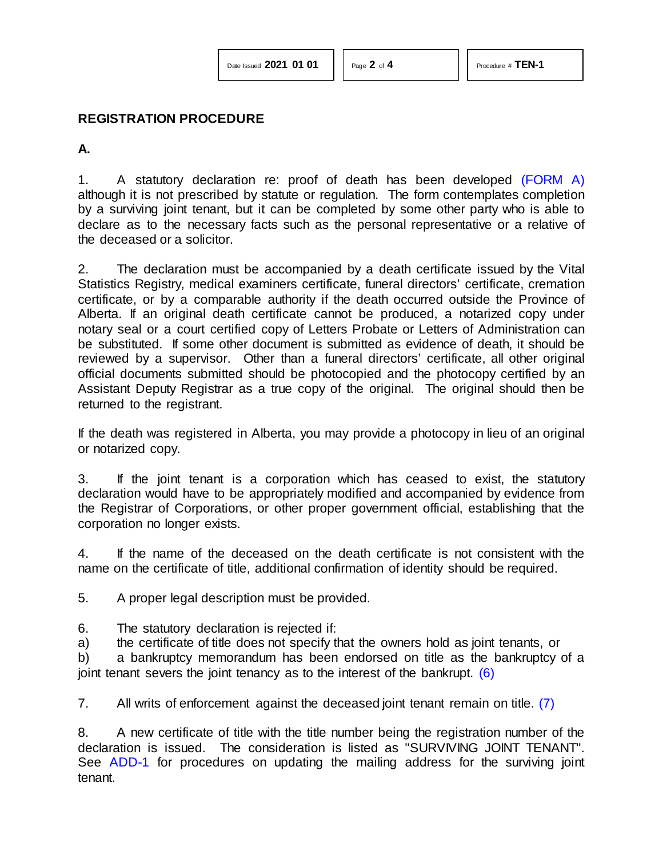#### **REGISTRATION PROCEDURE**

**A.** 

1. A statutory declaration re: proof of death has been developed [\(FORM A\)](http://www.servicealberta.ca/pdf/ltmanual/TEN-1-FORMA.PDF) although it is not prescribed by statute or regulation. The form contemplates completion by a surviving joint tenant, but it can be completed by some other party who is able to declare as to the necessary facts such as the personal representative or a relative of the deceased or a solicitor.

2. The declaration must be accompanied by a death certificate issued by the Vital Statistics Registry, medical examiners certificate, funeral directors' certificate, cremation certificate, or by a comparable authority if the death occurred outside the Province of Alberta. If an original death certificate cannot be produced, a notarized copy under notary seal or a court certified copy of Letters Probate or Letters of Administration can be substituted. If some other document is submitted as evidence of death, it should be reviewed by a supervisor. Other than a funeral directors' certificate, all other original official documents submitted should be photocopied and the photocopy certified by an Assistant Deputy Registrar as a true copy of the original. The original should then be returned to the registrant.

If the death was registered in Alberta, you may provide a photocopy in lieu of an original or notarized copy.

3. If the joint tenant is a corporation which has ceased to exist, the statutory declaration would have to be appropriately modified and accompanied by evidence from the Registrar of Corporations, or other proper government official, establishing that the corporation no longer exists.

4. If the name of the deceased on the death certificate is not consistent with the name on the certificate of title, additional confirmation of identity should be required.

5. A proper legal description must be provided.

- 6. The statutory declaration is rejected if:
- a) the certificate of title does not specify that the owners hold as joint tenants, or

<span id="page-1-0"></span>b) a bankruptcy memorandum has been endorsed on title as the bankruptcy of a joint tenant severs the joint tenancy as to the interest of the bankrupt.  $(6)$ 

<span id="page-1-1"></span>7. All writs of enforcement against the deceased joint tenant remain on title. [\(7\)](#page-3-6)

8. A new certificate of title with the title number being the registration number of the declaration is issued. The consideration is listed as "SURVIVING JOINT TENANT". See [ADD-1](http://www.servicealberta.ca/pdf/ltmanual/ADD-1.PDF) for procedures on updating the mailing address for the surviving joint tenant.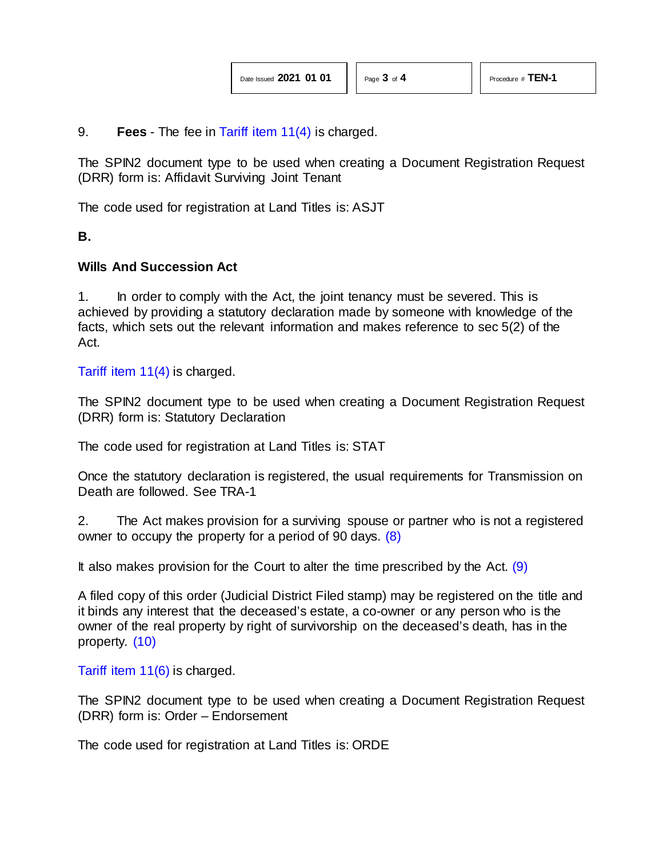9. **Fees** - The fee in [Tariff item 11\(4\)](http://www.servicealberta.ca/pdf/ltmanual/APPENDIXI.PDF) is charged.

The SPIN2 document type to be used when creating a Document Registration Request (DRR) form is: Affidavit Surviving Joint Tenant

The code used for registration at Land Titles is: ASJT

**B.** 

#### **Wills And Succession Act**

1. In order to comply with the Act, the joint tenancy must be severed. This is achieved by providing a statutory declaration made by someone with knowledge of the facts, which sets out the relevant information and makes reference to sec 5(2) of the Act.

[Tariff item 11\(4\)](http://www.servicealberta.ca/pdf/ltmanual/APPENDIXI.pdf) is charged.

The SPIN2 document type to be used when creating a Document Registration Request (DRR) form is: Statutory Declaration

The code used for registration at Land Titles is: STAT

Once the statutory declaration is registered, the usual requirements for Transmission on Death are followed. See TRA-1

<span id="page-2-0"></span>2. The Act makes provision for a surviving spouse or partner who is not a registered owner to occupy the property for a period of 90 days. [\(8\)](#page-3-7)

<span id="page-2-1"></span>It also makes provision for the Court to alter the time prescribed by the Act.  $(9)$ 

A filed copy of this order (Judicial District Filed stamp) may be registered on the title and it binds any interest that the deceased's estate, a co-owner or any person who is the owner of the real property by right of survivorship on the deceased's death, has in the property. [\(10\)](#page-3-9)

<span id="page-2-2"></span>[Tariff item 11\(6\)](http://www.servicealberta.ca/pdf/ltmanual/APPENDIXI.pdf) is charged.

The SPIN2 document type to be used when creating a Document Registration Request (DRR) form is: Order – Endorsement

The code used for registration at Land Titles is: ORDE